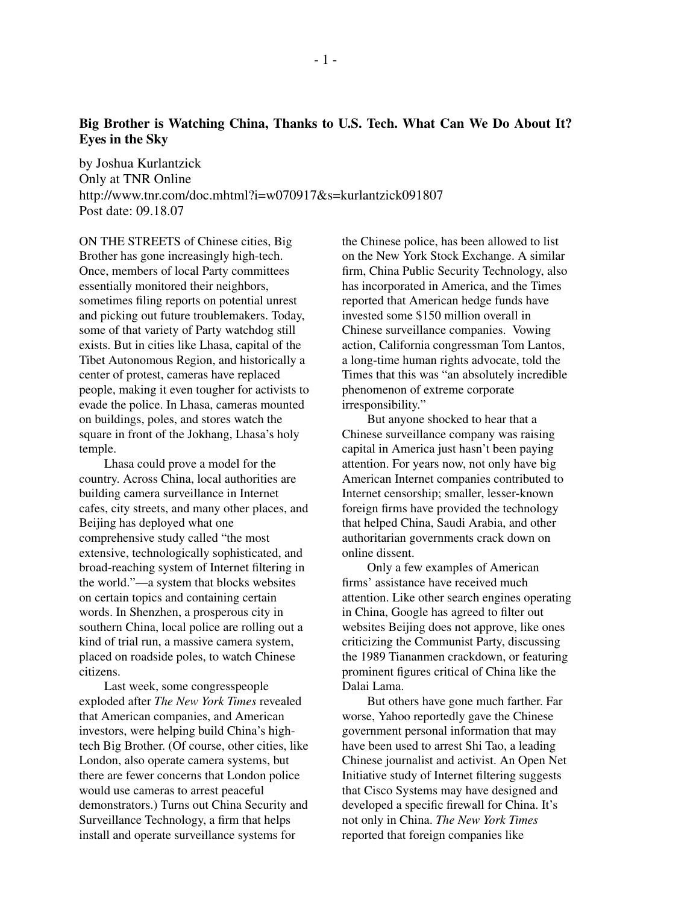## **Big Brother is Watching China, Thanks to U.S. Tech. What Can We Do About It? Eyes in the Sky**

by Joshua Kurlantzick Only at TNR Online http://www.tnr.com/doc.mhtml?i=w070917&s=kurlantzick091807 Post date: 09.18.07

ON THE STREETS of Chinese cities, Big Brother has gone increasingly high-tech. Once, members of local Party committees essentially monitored their neighbors, sometimes filing reports on potential unrest and picking out future troublemakers. Today, some of that variety of Party watchdog still exists. But in cities like Lhasa, capital of the Tibet Autonomous Region, and historically a center of protest, cameras have replaced people, making it even tougher for activists to evade the police. In Lhasa, cameras mounted on buildings, poles, and stores watch the square in front of the Jokhang, Lhasa's holy temple.

Lhasa could prove a model for the country. Across China, local authorities are building camera surveillance in Internet cafes, city streets, and many other places, and Beijing has deployed what one comprehensive study called "the most extensive, technologically sophisticated, and broad-reaching system of Internet filtering in the world."—a system that blocks websites on certain topics and containing certain words. In Shenzhen, a prosperous city in southern China, local police are rolling out a kind of trial run, a massive camera system, placed on roadside poles, to watch Chinese citizens.

Last week, some congresspeople exploded after *The New York Times* revealed that American companies, and American investors, were helping build China's hightech Big Brother. (Of course, other cities, like London, also operate camera systems, but there are fewer concerns that London police would use cameras to arrest peaceful demonstrators.) Turns out China Security and Surveillance Technology, a firm that helps install and operate surveillance systems for

the Chinese police, has been allowed to list on the New York Stock Exchange. A similar firm, China Public Security Technology, also has incorporated in America, and the Times reported that American hedge funds have invested some \$150 million overall in Chinese surveillance companies. Vowing action, California congressman Tom Lantos, a long-time human rights advocate, told the Times that this was "an absolutely incredible phenomenon of extreme corporate irresponsibility."

But anyone shocked to hear that a Chinese surveillance company was raising capital in America just hasn't been paying attention. For years now, not only have big American Internet companies contributed to Internet censorship; smaller, lesser-known foreign firms have provided the technology that helped China, Saudi Arabia, and other authoritarian governments crack down on online dissent.

Only a few examples of American firms' assistance have received much attention. Like other search engines operating in China, Google has agreed to filter out websites Beijing does not approve, like ones criticizing the Communist Party, discussing the 1989 Tiananmen crackdown, or featuring prominent figures critical of China like the Dalai Lama.

But others have gone much farther. Far worse, Yahoo reportedly gave the Chinese government personal information that may have been used to arrest Shi Tao, a leading Chinese journalist and activist. An Open Net Initiative study of Internet filtering suggests that Cisco Systems may have designed and developed a specific firewall for China. It's not only in China. *The New York Times* reported that foreign companies like